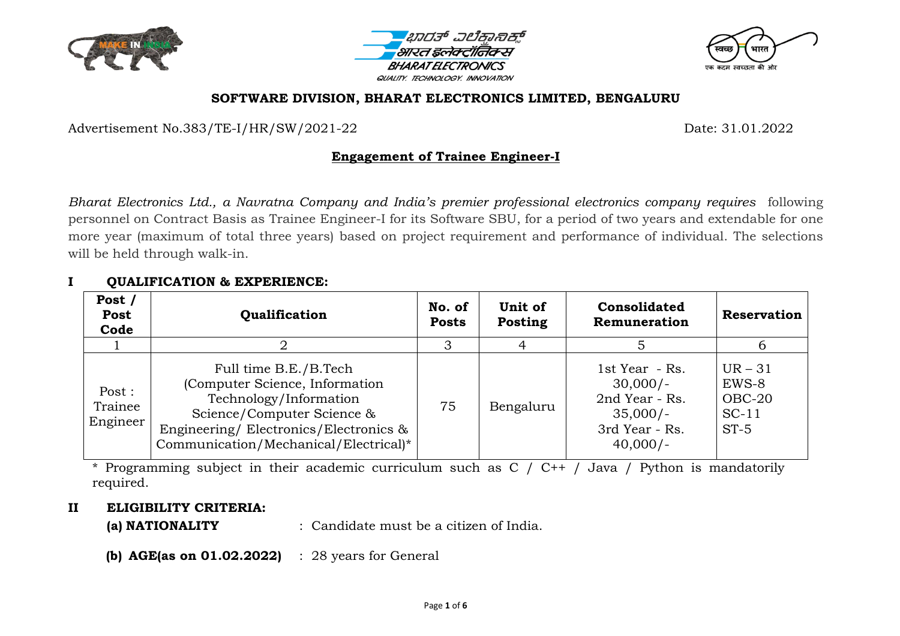





#### **SOFTWARE DIVISION, BHARAT ELECTRONICS LIMITED, BENGALURU**

Advertisement No.383/TE-I/HR/SW/2021-22 Date: 31.01.2022

#### **Engagement of Trainee Engineer-I**

*Bharat Electronics Ltd., a Navratna Company and India's premier professional electronics company requires* following personnel on Contract Basis as Trainee Engineer-I for its Software SBU, for a period of two years and extendable for one more year (maximum of total three years) based on project requirement and performance of individual. The selections will be held through walk-in.

#### **I QUALIFICATION & EXPERIENCE:**

| Post /<br>Post<br>Code        | Qualification                                                                                                                                                                                     | No. of<br><b>Posts</b> | Unit of<br>Posting | <b>Consolidated</b><br>Remuneration                                                          | <b>Reservation</b>                                  |
|-------------------------------|---------------------------------------------------------------------------------------------------------------------------------------------------------------------------------------------------|------------------------|--------------------|----------------------------------------------------------------------------------------------|-----------------------------------------------------|
|                               |                                                                                                                                                                                                   | 3                      |                    |                                                                                              | b                                                   |
| Post :<br>Trainee<br>Engineer | Full time B.E./B.Tech<br>(Computer Science, Information<br>Technology/Information<br>Science/Computer Science &<br>Engineering/Electronics/Electronics &<br>Communication/Mechanical/Electrical)* | 75                     | Bengaluru          | 1st Year - Rs.<br>$30,000/-$<br>2nd Year - Rs.<br>$35,000/-$<br>3rd Year - Rs.<br>$40,000/-$ | $UR - 31$<br>EWS-8<br>$OBC-20$<br>$SC-11$<br>$ST-5$ |

\* Programming subject in their academic curriculum such as C / C++ / Java / Python is mandatorily required.

#### **II ELIGIBILITY CRITERIA:**

**(a) NATIONALITY** : Candidate must be a citizen of India.

**(b) AGE(as on 01.02.2022)** : 28 years for General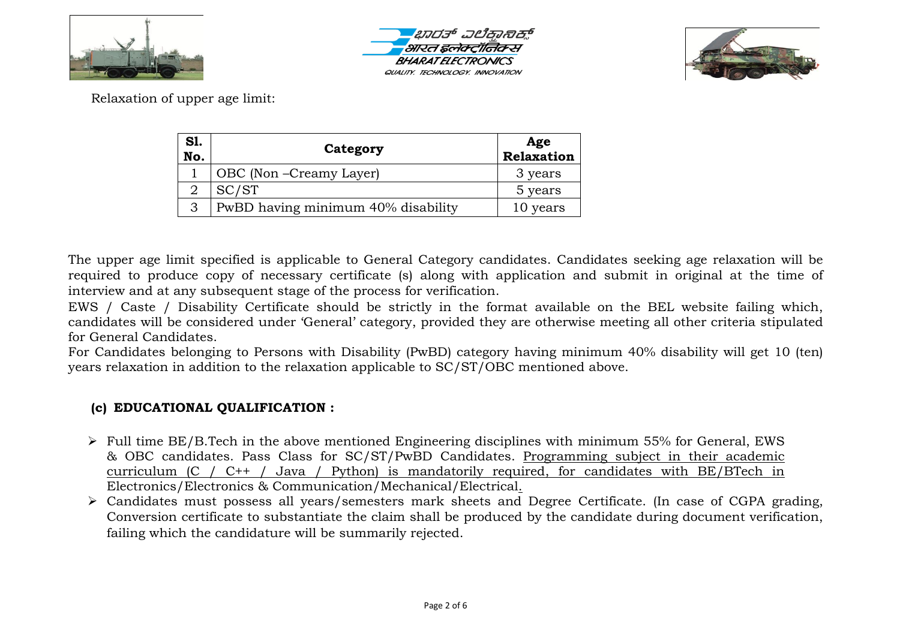





Relaxation of upper age limit:

| <b>S1.</b><br>No. | Category                           | Age<br>Relaxation |  |
|-------------------|------------------------------------|-------------------|--|
|                   | OBC (Non-Creamy Layer)             | 3 years           |  |
|                   | SC/ST                              | 5 years           |  |
| 3                 | PwBD having minimum 40% disability | 10 years          |  |

The upper age limit specified is applicable to General Category candidates. Candidates seeking age relaxation will be required to produce copy of necessary certificate (s) along with application and submit in original at the time of interview and at any subsequent stage of the process for verification.

EWS / Caste / Disability Certificate should be strictly in the format available on the BEL website failing which, candidates will be considered under 'General' category, provided they are otherwise meeting all other criteria stipulated for General Candidates.

For Candidates belonging to Persons with Disability (PwBD) category having minimum 40% disability will get 10 (ten) years relaxation in addition to the relaxation applicable to SC/ST/OBC mentioned above.

# **(c) EDUCATIONAL QUALIFICATION :**

- $\triangleright$  Full time BE/B.Tech in the above mentioned Engineering disciplines with minimum 55% for General, EWS & OBC candidates. Pass Class for SC/ST/PwBD Candidates. Programming subject in their academic curriculum (C / C++ / Java / Python) is mandatorily required, for candidates with BE/BTech in Electronics/Electronics & Communication/Mechanical/Electrical.
- Candidates must possess all years/semesters mark sheets and Degree Certificate. (In case of CGPA grading, Conversion certificate to substantiate the claim shall be produced by the candidate during document verification, failing which the candidature will be summarily rejected.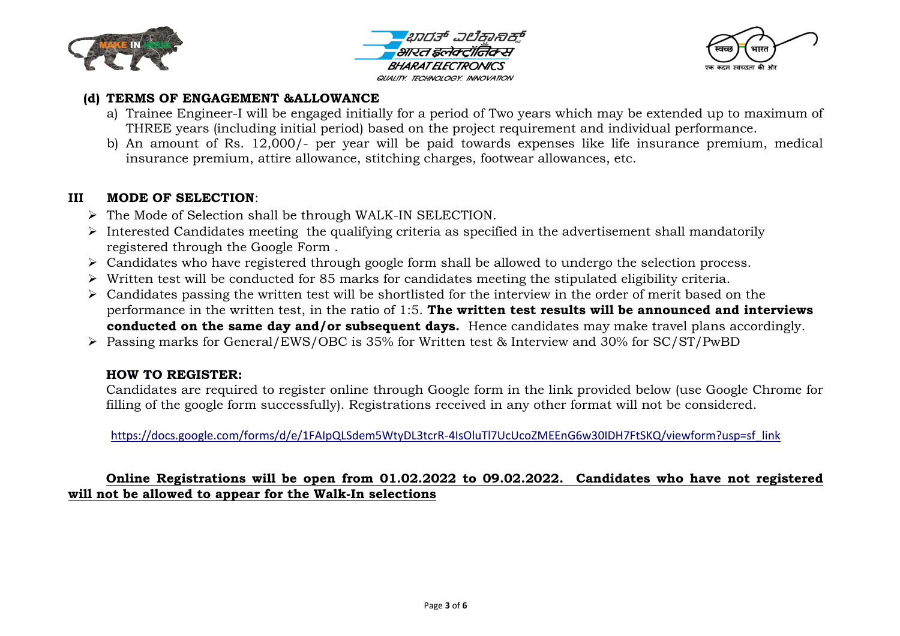





#### **(d) TERMS OF ENGAGEMENT &ALLOWANCE**

- a) Trainee Engineer-I will be engaged initially for a period of Two years which may be extended up to maximum of THREE years (including initial period) based on the project requirement and individual performance.
- b) An amount of Rs. 12,000/- per year will be paid towards expenses like life insurance premium, medical insurance premium, attire allowance, stitching charges, footwear allowances, etc.

## **III MODE OF SELECTION**:

- $\triangleright$  The Mode of Selection shall be through WALK-IN SELECTION.
- $\triangleright$  Interested Candidates meeting the qualifying criteria as specified in the advertisement shall mandatorily registered through the Google Form .
- Candidates who have registered through google form shall be allowed to undergo the selection process.
- $\triangleright$  Written test will be conducted for 85 marks for candidates meeting the stipulated eligibility criteria.
- $\triangleright$  Candidates passing the written test will be shortlisted for the interview in the order of merit based on the performance in the written test, in the ratio of 1:5. **The written test results will be announced and interviews conducted on the same day and/or subsequent days.** Hence candidates may make travel plans accordingly.
- Passing marks for General/EWS/OBC is 35% for Written test & Interview and 30% for SC/ST/PwBD

## **HOW TO REGISTER:**

Candidates are required to register online through Google form in the link provided below (use Google Chrome for filling of the google form successfully). Registrations received in any other format will not be considered.

[https://docs.google.com/forms/d/e/1FAIpQLSdem5WtyDL3tcrR-4IsOluTl7UcUcoZMEEnG6w30IDH7FtSKQ/viewform?usp=sf\\_link](https://docs.google.com/forms/d/e/1FAIpQLSdem5WtyDL3tcrR-4IsOluTl7UcUcoZMEEnG6w30IDH7FtSKQ/viewform?usp=sf_link)

## **Online Registrations will be open from 01.02.2022 to 09.02.2022. Candidates who have not registered will not be allowed to appear for the Walk-In selections**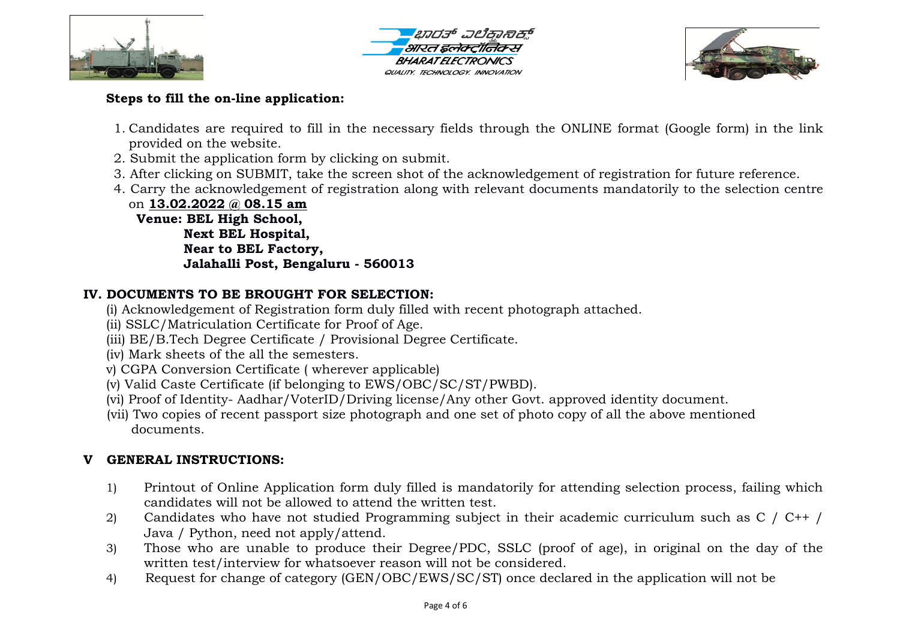





# **Steps to fill the on-line application:**

- 1. Candidates are required to fill in the necessary fields through the ONLINE format (Google form) in the link provided on the website.
- 2. Submit the application form by clicking on submit.
- 3. After clicking on SUBMIT, take the screen shot of the acknowledgement of registration for future reference.
- 4. Carry the acknowledgement of registration along with relevant documents mandatorily to the selection centre

on **13.02.2022 @ 08.15 am Venue: BEL High School, Next BEL Hospital, Near to BEL Factory, Jalahalli Post, Bengaluru - 560013**

# **IV. DOCUMENTS TO BE BROUGHT FOR SELECTION:**

- (i) Acknowledgement of Registration form duly filled with recent photograph attached.
- (ii) SSLC/Matriculation Certificate for Proof of Age.
- (iii) BE/B.Tech Degree Certificate / Provisional Degree Certificate.
- (iv) Mark sheets of the all the semesters.
- v) CGPA Conversion Certificate ( wherever applicable)
- (v) Valid Caste Certificate (if belonging to EWS/OBC/SC/ST/PWBD).
- (vi) Proof of Identity- Aadhar/VoterID/Driving license/Any other Govt. approved identity document.
- (vii) Two copies of recent passport size photograph and one set of photo copy of all the above mentioned documents.

# **V GENERAL INSTRUCTIONS:**

- 1) Printout of Online Application form duly filled is mandatorily for attending selection process, failing which candidates will not be allowed to attend the written test.
- 2) Candidates who have not studied Programming subject in their academic curriculum such as C / C++ / Java / Python, need not apply/attend.
- 3) Those who are unable to produce their Degree/PDC, SSLC (proof of age), in original on the day of the written test/interview for whatsoever reason will not be considered.
- 4) Request for change of category (GEN/OBC/EWS/SC/ST) once declared in the application will not be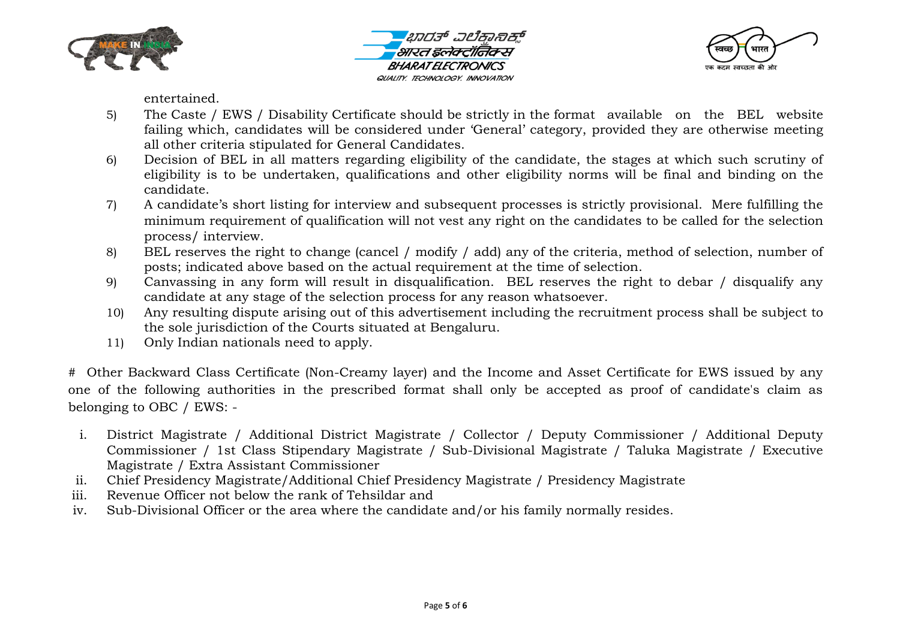





entertained.

- 5) The Caste / EWS / Disability Certificate should be strictly in the format available on the BEL website failing which, candidates will be considered under 'General' category, provided they are otherwise meeting all other criteria stipulated for General Candidates.
- 6) Decision of BEL in all matters regarding eligibility of the candidate, the stages at which such scrutiny of eligibility is to be undertaken, qualifications and other eligibility norms will be final and binding on the candidate.
- 7) A candidate's short listing for interview and subsequent processes is strictly provisional. Mere fulfilling the minimum requirement of qualification will not vest any right on the candidates to be called for the selection process/ interview.
- 8) BEL reserves the right to change (cancel / modify / add) any of the criteria, method of selection, number of posts; indicated above based on the actual requirement at the time of selection.
- 9) Canvassing in any form will result in disqualification. BEL reserves the right to debar / disqualify any candidate at any stage of the selection process for any reason whatsoever.
- 10) Any resulting dispute arising out of this advertisement including the recruitment process shall be subject to the sole jurisdiction of the Courts situated at Bengaluru.
- 11) Only Indian nationals need to apply.

# Other Backward Class Certificate (Non-Creamy layer) and the Income and Asset Certificate for EWS issued by any one of the following authorities in the prescribed format shall only be accepted as proof of candidate's claim as belonging to OBC / EWS: -

- i. District Magistrate / Additional District Magistrate / Collector / Deputy Commissioner / Additional Deputy Commissioner / 1st Class Stipendary Magistrate / Sub-Divisional Magistrate / Taluka Magistrate / Executive Magistrate / Extra Assistant Commissioner
- ii. Chief Presidency Magistrate/Additional Chief Presidency Magistrate / Presidency Magistrate
- iii. Revenue Officer not below the rank of Tehsildar and
- iv. Sub-Divisional Officer or the area where the candidate and/or his family normally resides.